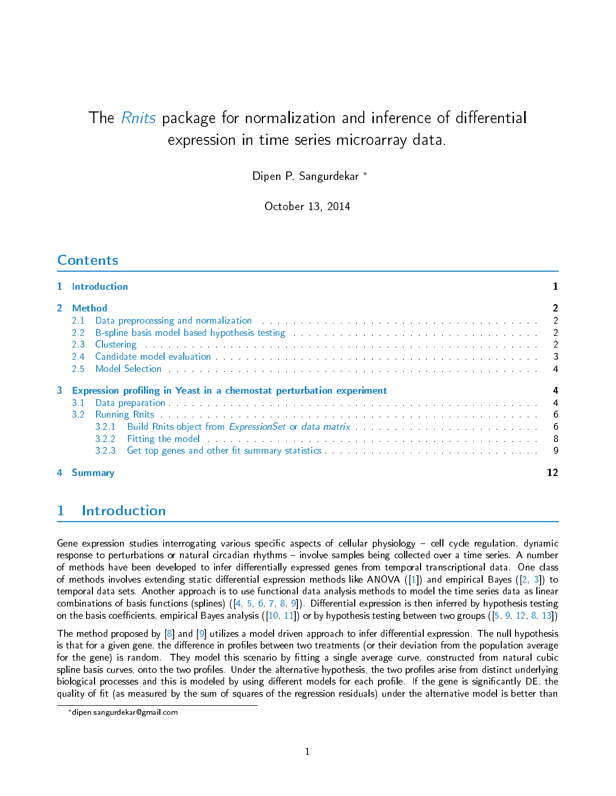# The *[Rnits](http://bioconductor.org/packages/release/bioc/html/Rnits.html)* package for normalization and inference of differential expression in time series microarray data.

Dipen P. Sangurdekar <sup>∗</sup>

October 13, 2014

# **Contents**

| 1 Introduction                                                                                                                                                                                                                                                                                                                                                                                                                                                                                                                                                                                                                                                                                                                     |    |
|------------------------------------------------------------------------------------------------------------------------------------------------------------------------------------------------------------------------------------------------------------------------------------------------------------------------------------------------------------------------------------------------------------------------------------------------------------------------------------------------------------------------------------------------------------------------------------------------------------------------------------------------------------------------------------------------------------------------------------|----|
| 2 Method<br>Data preprocessing and normalization (b) and the contract of the contract of the contract of the contract of the contract of the contract of the contract of the contract of the contract of the contract of the contract of t<br>2.1<br>B-spline basis model based hypothesis testing entitled and account of the set of the set of the set of the set of the set of the set of the set of the set of the set of the set of the set of the set of the set of the set o<br>Clustering <b>Contract Contract Contract Contract Contract Contract Contract Contract Contract Contract Contract Contract Contract Contract Contract Contract Contract Contract Contract Contract Contract Contract Contract Con</b><br>2.3 |    |
| 3 Expression profiling in Yeast in a chemostat perturbation experiment<br>Data preparation and a series of the contract of the contract of the contract of the contract of the contract of the contract of the contract of the contract of the contract of the contract of the contract of the contract<br>321<br>Fitting the model the contract of the contract of the contract of the contract of the contract of the contract of the contract of the contract of the contract of the contract of the contract of the contract of the contract<br>3.2.2<br>3.2.3                                                                                                                                                                 |    |
| 4 Summarv                                                                                                                                                                                                                                                                                                                                                                                                                                                                                                                                                                                                                                                                                                                          | 12 |

# <span id="page-0-0"></span>1 Introduction

Gene expression studies interrogating various specific aspects of cellular physiology – cell cycle regulation, dynamic response to perturbations or natural circadian rhythms – involve samples being collected over a time series. A number of methods have been developed to infer differentially expressed genes from temporal transcriptional data. One class of methods involves extending static differential expression methods like ANOVA ([\[1\]](#page-11-1)) and empirical Bayes ([\[2,](#page-11-2) [3\]](#page-11-3)) to temporal data sets. Another approach is to use functional data analysis methods to model the time series data as linear combinations of basis functions (splines) ( $\begin{bmatrix} 4 & 5 & 6 & 7 & 8 & 9 \end{bmatrix}$ . Differential expression is then inferred by hypothesis testing on the basis coefficients, empirical Bayes analysis  $([10, 11])$  $([10, 11])$  $([10, 11])$  $([10, 11])$  $([10, 11])$  or by hypothesis testing between two groups  $([5, 9, 12, 8, 13])$  $([5, 9, 12, 8, 13])$  $([5, 9, 12, 8, 13])$  $([5, 9, 12, 8, 13])$  $([5, 9, 12, 8, 13])$  $([5, 9, 12, 8, 13])$  $([5, 9, 12, 8, 13])$  $([5, 9, 12, 8, 13])$  $([5, 9, 12, 8, 13])$  $([5, 9, 12, 8, 13])$  $([5, 9, 12, 8, 13])$ 

The method proposed by  $[8]$  and  $[9]$  utilizes a model driven approach to infer differential expression. The null hypothesis is that for a given gene, the difference in profiles between two treatments (or their deviation from the population average for the gene) is random. They model this scenario by fitting a single average curve, constructed from natural cubic spline basis curves, onto the two profiles. Under the alternative hypothesis, the two profiles arise from distinct underlying biological processes and this is modeled by using different models for each profile. If the gene is significantly DE, the quality of fit (as measured by the sum of squares of the regression residuals) under the alternative model is better than

<sup>∗</sup>dipen.sangurdekar@gmail.com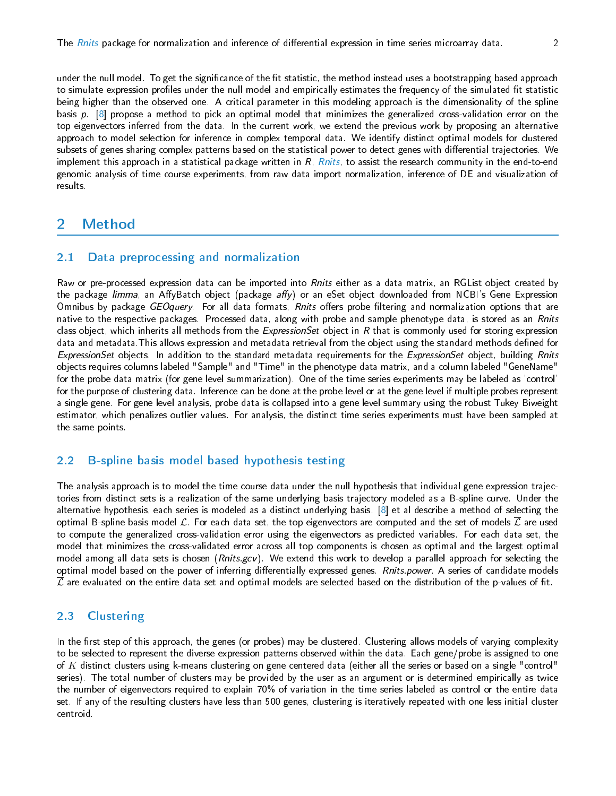under the null model. To get the significance of the fit statistic, the method instead uses a bootstrapping based approach to simulate expression profiles under the null model and empirically estimates the frequency of the simulated fit statistic being higher than the observed one. A critical parameter in this modeling approach is the dimensionality of the spline basis  $p \nvert 8$  propose a method to pick an optimal model that minimizes the generalized cross-validation error on the top eigenvectors inferred from the data. In the current work, we extend the previous work by proposing an alternative approach to model selection for inference in complex temporal data. We identify distinct optimal models for clustered subsets of genes sharing complex patterns based on the statistical power to detect genes with differential trajectories. We implement this approach in a statistical package written in  $R$ ,  $Rn$ its, to assist the research community in the end-to-end genomic analysis of time course experiments, from raw data import normalization, inference of DE and visualization of results.

# <span id="page-1-0"></span>2 Method

### <span id="page-1-1"></span>2.1 Data preprocessing and normalization

Raw or pre-processed expression data can be imported into *Rnits* either as a data matrix, an RGList object created by the package *limma*, an AffyBatch object (package *affy*) or an eSet object downloaded from NCBI's Gene Expression Omnibus by package GEOquery. For all data formats, Rnits offers probe filtering and normalization options that are native to the respective packages. Processed data, along with probe and sample phenotype data, is stored as an Rnits class object, which inherits all methods from the  $ExpressionSet$  object in  $R$  that is commonly used for storing expression data and metadata. This allows expression and metadata retrieval from the object using the standard methods defined for ExpressionSet objects. In addition to the standard metadata requirements for the ExpressionSet object, building Rnits objects requires columns labeled "Sample" and "Time" in the phenotype data matrix, and a column labeled "GeneName" for the probe data matrix (for gene level summarization). One of the time series experiments may be labeled as 'control' for the purpose of clustering data. Inference can be done at the probe level or at the gene level if multiple probes represent a single gene. For gene level analysis, probe data is collapsed into a gene level summary using the robust Tukey Biweight estimator, which penalizes outlier values. For analysis, the distinct time series experiments must have been sampled at the same points.

### <span id="page-1-2"></span>2.2 B-spline basis model based hypothesis testing

The analysis approach is to model the time course data under the null hypothesis that individual gene expression trajectories from distinct sets is a realization of the same underlying basis trajectory modeled as a B-spline curve. Under the alternative hypothesis, each series is modeled as a distinct underlying basis. [\[8\]](#page-12-2) et al describe a method of selecting the optimal B-spline basis model  $\mathcal{L}$ . For each data set, the top eigenvectors are computed and the set of models  $\mathcal{L}$  are used to compute the generalized cross-validation error using the eigenvectors as predicted variables. For each data set, the model that minimizes the cross-validated error across all top components is chosen as optimal and the largest optimal model among all data sets is chosen (Rnits.gcv). We extend this work to develop a parallel approach for selecting the optimal model based on the power of inferring differentially expressed genes. Rnits power. A series of candidate models  $\overline{\mathcal{L}}$  are evaluated on the entire data set and optimal models are selected based on the distribution of the p-values of fit.

### <span id="page-1-3"></span>2.3 Clustering

In the first step of this approach, the genes (or probes) may be clustered. Clustering allows models of varying complexity to be selected to represent the diverse expression patterns observed within the data. Each gene/probe is assigned to one of K distinct clusters using k-means clustering on gene centered data (either all the series or based on a single "control" series). The total number of clusters may be provided by the user as an argument or is determined empirically as twice the number of eigenvectors required to explain 70% of variation in the time series labeled as control or the entire data set. If any of the resulting clusters have less than 500 genes, clustering is iteratively repeated with one less initial cluster centroid.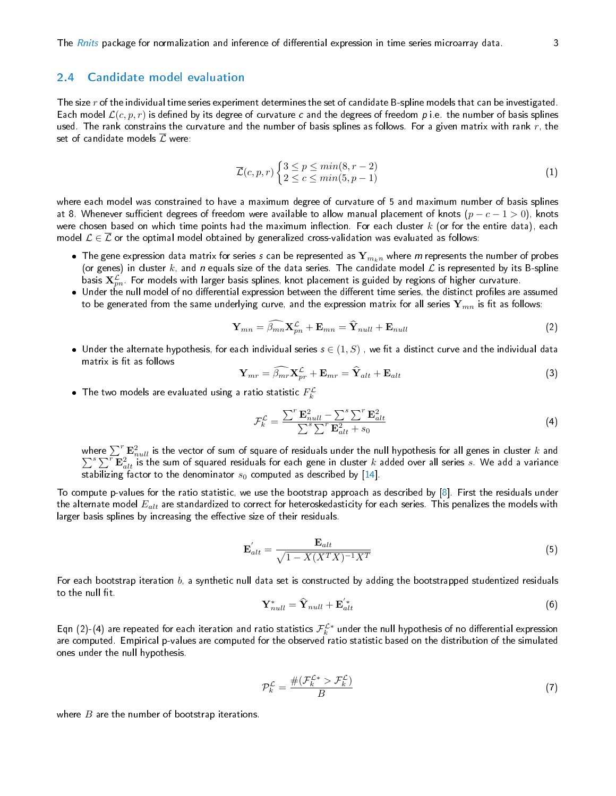### <span id="page-2-0"></span>2.4 Candidate model evaluation

The size r of the individual time series experiment determines the set of candidate B-spline models that can be investigated. Each model  $\mathcal{L}(c, p, r)$  is defined by its degree of curvature c and the degrees of freedom p i.e. the number of basis splines used. The rank constrains the curvature and the number of basis splines as follows. For a given matrix with rank  $r$ , the set of candidate models  $\overline{\mathcal{L}}$  were:

$$
\overline{\mathcal{L}}(c, p, r) \begin{cases} 3 \le p \le \min(8, r - 2) \\ 2 \le c \le \min(5, p - 1) \end{cases}
$$
\n(1)

where each model was constrained to have a maximum degree of curvature of 5 and maximum number of basis splines at 8. Whenever sufficient degrees of freedom were available to allow manual placement of knots  $(p-c-1>0)$ , knots were chosen based on which time points had the maximum inflection. For each cluster  $k$  (or for the entire data), each model  $\mathcal{L} \in \overline{\mathcal{L}}$  or the optimal model obtained by generalized cross-validation was evaluated as follows:

- $\bullet\,$  The gene expression data matrix for series  $s$  can be represented as  ${\bf Y}_{m_kn}$  where  $m$  represents the number of probes (or genes) in cluster  $k$ , and n equals size of the data series. The candidate model  $L$  is represented by its B-spline basis  $\mathbf{X}_{pn}^\mathcal{L}$  . For models with larger basis splines, knot placement is guided by regions of higher curvature.
- $\bullet$  Under the null model of no differential expression between the different time series, the distinct profiles are assumed to be generated from the same underlying curve, and the expression matrix for all series  $\mathbf{Y}_{mn}$  is fit as follows:

$$
\mathbf{Y}_{mn} = \widehat{\beta_{mn}} \mathbf{X}_{pn}^{\mathcal{L}} + \mathbf{E}_{mn} = \widehat{\mathbf{Y}}_{null} + \mathbf{E}_{null}
$$
 (2)

 $\bullet\,$  Under the alternate hypothesis, for each individual series  $s\in(1,S)$  , we fit a distinct curve and the individual data matrix is fit as follows

$$
\mathbf{Y}_{mr} = \widehat{\beta_{mr}} \mathbf{X}_{pr}^{\mathcal{L}} + \mathbf{E}_{mr} = \widehat{\mathbf{Y}}_{alt} + \mathbf{E}_{alt}
$$
 (3)

 $\bullet$  The two models are evaluated using a ratio statistic  $F_k^\mathcal{L}$ 

$$
\mathcal{F}_k^{\mathcal{L}} = \frac{\sum^r \mathbf{E}_{null}^2 - \sum^s \sum^r \mathbf{E}_{alt}^2}{\sum^s \sum^r \mathbf{E}_{alt}^2 + s_0}
$$
\n(4)

where  $\sum^r \mathbf{E}^2_{null}$  is the vector of sum of square of residuals under the null hypothesis for all genes in cluster  $k$  and  $\sum^s\sum^r\mathbf{\widetilde{E}}^2_{alt}$  is the sum of squared residuals for each gene in cluster  $k$  added over all series  $s$ . We add a variance stabilizing factor to the denominator  $s_0$  computed as described by [\[14\]](#page-12-8).

To compute p-values for the ratio statistic, we use the bootstrap approach as described by [\[8\]](#page-12-2). First the residuals under the alternate model  $E_{alt}$  are standardized to correct for heteroskedasticity for each series. This penalizes the models with larger basis splines by increasing the effective size of their residuals.

$$
\mathbf{E}_{alt}^{'} = \frac{\mathbf{E}_{alt}}{\sqrt{1 - X(X^{T}X)^{-1}X^{T}}}
$$
\n(5)

For each bootstrap iteration  $b$ , a synthetic null data set is constructed by adding the bootstrapped studentized residuals to the null fit.

$$
\mathbf{Y}_{null}^* = \hat{\mathbf{Y}}_{null} + \mathbf{E}_{alt}^{'*}
$$
 (6)

Eqn (2)-(4) are repeated for each iteration and ratio statistics  $\mathcal{F}^{\mathcal{L}*}_k$  under the null hypothesis of no differential expression are computed. Empirical p-values are computed for the observed ratio statistic based on the distribution of the simulated ones under the null hypothesis.

$$
\mathcal{P}_k^{\mathcal{L}} = \frac{\#(\mathcal{F}_k^{\mathcal{L}*} > \mathcal{F}_k^{\mathcal{L}})}{B} \tag{7}
$$

where  $B$  are the number of bootstrap iterations.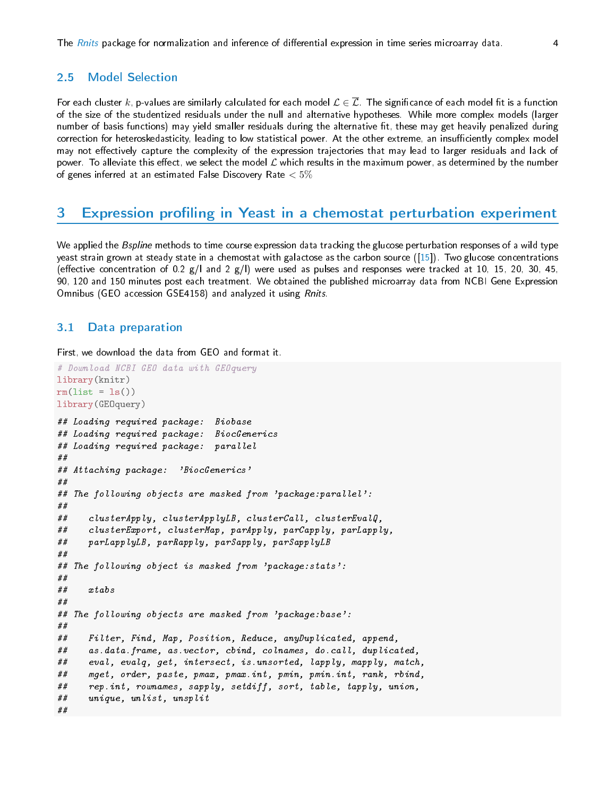### <span id="page-3-0"></span>2.5 Model Selection

For each cluster  $k$ , p-values are similarly calculated for each model  $\mathcal{L}\in\overline{\mathcal{L}}$  . The significance of each model fit is a function of the size of the studentized residuals under the null and alternative hypotheses. While more complex models (larger number of basis functions) may yield smaller residuals during the alternative fit, these may get heavily penalized during correction for heteroskedasticity, leading to low statistical power. At the other extreme, an insufficiently complex model may not effectively capture the complexity of the expression trajectories that may lead to larger residuals and lack of power. To alleviate this effect, we select the model  ${\cal L}$  which results in the maximum power, as determined by the number of genes inferred at an estimated False Discovery Rate  $< 5\%$ 

### <span id="page-3-1"></span>3 Expression profiling in Yeast in a chemostat perturbation experiment

We applied the Bspline methods to time course expression data tracking the glucose perturbation responses of a wild type yeast strain grown at steady state in a chemostat with galactose as the carbon source ([\[15\]](#page-12-9)). Two glucose concentrations (effective concentration of 0.2 g/l and 2 g/l) were used as pulses and responses were tracked at 10, 15, 20, 30, 45, 90, 120 and 150 minutes post each treatment. We obtained the published microarray data from NCBI Gene Expression Omnibus (GEO accession GSE4158) and analyzed it using Rnits.

### <span id="page-3-2"></span>3.1 Data preparation

First, we download the data from GEO and format it.

```
# Download NCBI GEO data with GEOquery
library(knitr)
rm(list = ls())library(GEOquery)
## Loading required package: Biobase
## Loading required package: BiocGenerics
## Loading required package: parallel
##
## Attaching package: 'BiocGenerics'
##
## The following objects are masked from 'package:parallel':
##
## clusterApply, clusterApplyLB, clusterCall, clusterEvalQ,
## clusterExport, clusterMap, parApply, parCapply, parLapply,
## parLapplyLB, parRapply, parSapply, parSapplyLB
##
## The following object is masked from 'package:stats':
##
## xtabs
##
## The following objects are masked from 'package:base':
##
## Filter, Find, Map, Position, Reduce, anyDuplicated, append,
## as.data.frame, as.vector, cbind, colnames, do.call, duplicated,
## eval, evalq, get, intersect, is.unsorted, lapply, mapply, match,
## mget, order, paste, pmax, pmax.int, pmin, pmin.int, rank, rbind,
## rep.int, rownames, sapply, setdiff, sort, table, tapply, union,
## unique, unlist, unsplit
##
```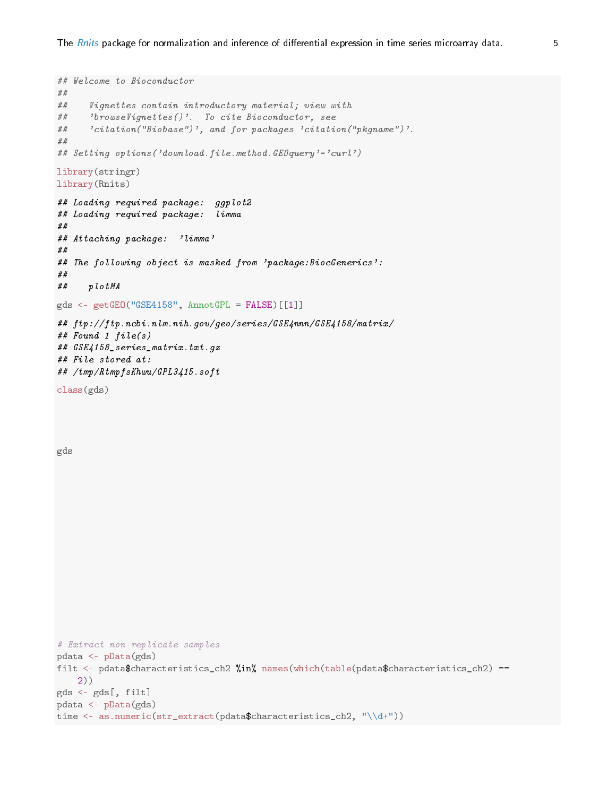```
## Welcome to Bioconductor
##
## Vignettes contain introductory material; view with
## 'browseVignettes()'. To cite Bioconductor, see
## 'citation("Biobase")', and for packages 'citation("pkgname")'.
##
## Setting options('download.file.method.GEOquery'='curl')
library(stringr)
library(Rnits)
## Loading required package: ggplot2
## Loading required package: limma
##
## Attaching package: 'limma'
##
## The following object is masked from 'package:BiocGenerics':
##
## plotMA
gds <- getGEO("GSE4158", AnnotGPL = FALSE)[[1]]
## ftp://ftp.ncbi.nlm.nih.gov/geo/series/GSE4nnn/GSE4158/matrix/
## Found 1 file(s)
## GSE4158_series_matrix.txt.gz
## File stored at:
## /tmp/RtmpfsKhwu/GPL3415.soft
class(gds)
gds
# Extract non-replicate samples
pdata <- pData(gds)
filt <- pdata$characteristics_ch2 \n  <i>%in%</i> names(which(table(pdata$characteristics_ch2) ==
   2))
gds <- gds[, filt]
pdata <- pData(gds)
time <- as.numeric(str_extract(pdata$characteristics_ch2, "\\d+"))
```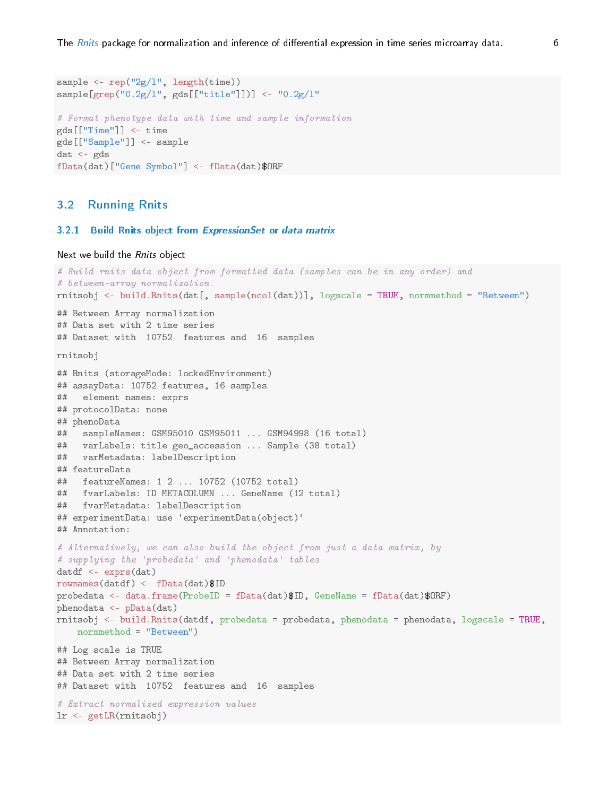```
sample \leq rep("2g/1", length(time))
sample[grep("0.2g/l", gds[["title"]])] <- "0.2g/l"
# Format phenotype data with time and sample information
gds[["Time"]] <- time
gds[["Sample"]] <- sample
dat <- gds
fData(dat)["Gene Symbol"] <- fData(dat)$ORF
```
### <span id="page-5-0"></span>3.2 Running Rnits

#### <span id="page-5-1"></span>3.2.1 Build Rnits object from ExpressionSet or data matrix

```
Next we build the Rnits object
```

```
# Build rnits data object from formatted data (samples can be in any order) and
# between-array normalization.
rnitsobj <- build.Rnits(dat[, sample(ncol(dat))], logscale = TRUE, normmethod = "Between")
## Between Array normalization
## Data set with 2 time series
## Dataset with 10752 features and 16 samples
rnitsobj
## Rnits (storageMode: lockedEnvironment)
## assayData: 10752 features, 16 samples
## element names: exprs
## protocolData: none
## phenoData
## sampleNames: GSM95010 GSM95011 ... GSM94998 (16 total)
## varLabels: title geo_accession ... Sample (38 total)
## varMetadata: labelDescription
## featureData
## featureNames: 1 2 ... 10752 (10752 total)
## fvarLabels: ID METACOLUMN ... GeneName (12 total)
## fvarMetadata: labelDescription
## experimentData: use 'experimentData(object)'
## Annotation:
# Alternatively, we can also build the object from just a data matrix, by
# supplying the 'probedata' and 'phenodata' tables
datdf <- exprs(dat)
rownames(datdf) <- fData(dat)$ID
probedata <- data.frame(ProbeID = fData(dat)$ID, GeneName = fData(dat)$ORF)
phenodata <- pData(dat)
rnitsobj <- build.Rnits(datdf, probedata = probedata, phenodata = phenodata, logscale = TRUE,
   normmethod = "Between")
## Log scale is TRUE
## Between Array normalization
## Data set with 2 time series
## Dataset with 10752 features and 16 samples
# Extract normalized expression values
lr <- getLR(rnitsobj)
```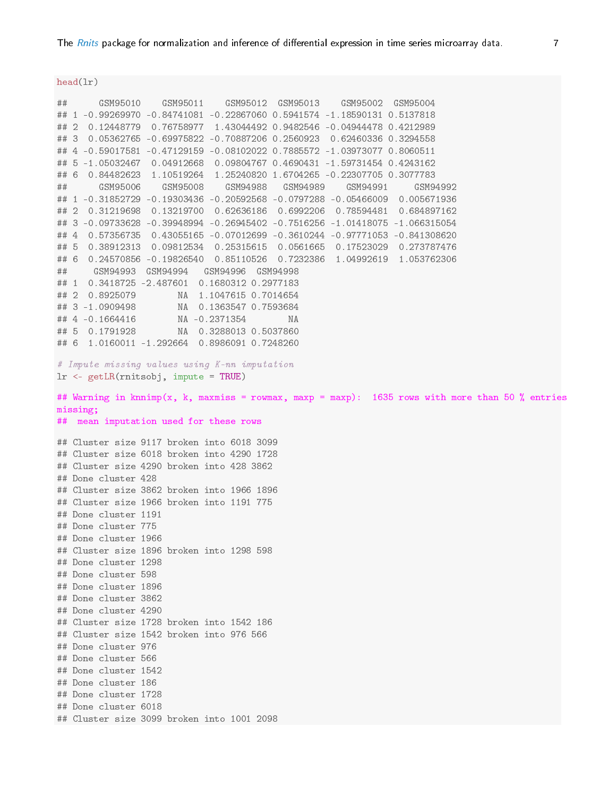head(lr) ## GSM95010 GSM95011 GSM95012 GSM95013 GSM95002 GSM95004 ## 1 -0.99269970 -0.84741081 -0.22867060 0.5941574 -1.18590131 0.5137818 ## 2 0.12448779 0.76758977 1.43044492 0.9482546 -0.04944478 0.4212989 ## 3 0.05362765 -0.69975822 -0.70887206 0.2560923 0.62460336 0.3294558 ## 4 -0.59017581 -0.47129159 -0.08102022 0.7885572 -1.03973077 0.8060511 ## 5 -1.05032467 0.04912668 0.09804767 0.4690431 -1.59731454 0.4243162 ## 6 0.84482623 1.10519264 1.25240820 1.6704265 -0.22307705 0.3077783 ## GSM95006 GSM95008 GSM94988 GSM94989 GSM94991 GSM94992 ## 1 -0.31852729 -0.19303436 -0.20592568 -0.0797288 -0.05466009 0.005671936 ## 2 0.31219698 0.13219700 0.62636186 0.6992206 0.78594481 0.684897162 ## 3 -0.09733628 -0.39948994 -0.26945402 -0.7516256 -1.01418075 -1.066315054 ## 4 0.57356735 0.43055165 -0.07012699 -0.3610244 -0.97771053 -0.841308620 ## 5 0.38912313 0.09812534 0.25315615 0.0561665 0.17523029 0.273787476 ## 6 0.24570856 -0.19826540 0.85110526 0.7232386 1.04992619 1.053762306 ## GSM94993 GSM94994 GSM94996 GSM94998 ## 1 0.3418725 -2.487601 0.1680312 0.2977183 ## 2 0.8925079 NA 1.1047615 0.7014654 ## 3 -1.0909498 NA 0.1363547 0.7593684 ## 4 -0.1664416 NA -0.2371354 NA ## 5 0.1791928 NA 0.3288013 0.5037860 ## 6 1.0160011 -1.292664 0.8986091 0.7248260 # Impute missing values using K-nn imputation lr <- getLR(rnitsobj, impute = TRUE) ## Warning in knnimp(x, k, maxmiss = rowmax, maxp = maxp): 1635 rows with more than 50 % entries missing; ## mean imputation used for these rows ## Cluster size 9117 broken into 6018 3099 ## Cluster size 6018 broken into 4290 1728 ## Cluster size 4290 broken into 428 3862 ## Done cluster 428 ## Cluster size 3862 broken into 1966 1896 ## Cluster size 1966 broken into 1191 775 ## Done cluster 1191 ## Done cluster 775 ## Done cluster 1966 ## Cluster size 1896 broken into 1298 598 ## Done cluster 1298 ## Done cluster 598 ## Done cluster 1896 ## Done cluster 3862 ## Done cluster 4290 ## Cluster size 1728 broken into 1542 186 ## Cluster size 1542 broken into 976 566 ## Done cluster 976 ## Done cluster 566 ## Done cluster 1542 ## Done cluster 186

## Done cluster 1728

## Done cluster 6018

## Cluster size 3099 broken into 1001 2098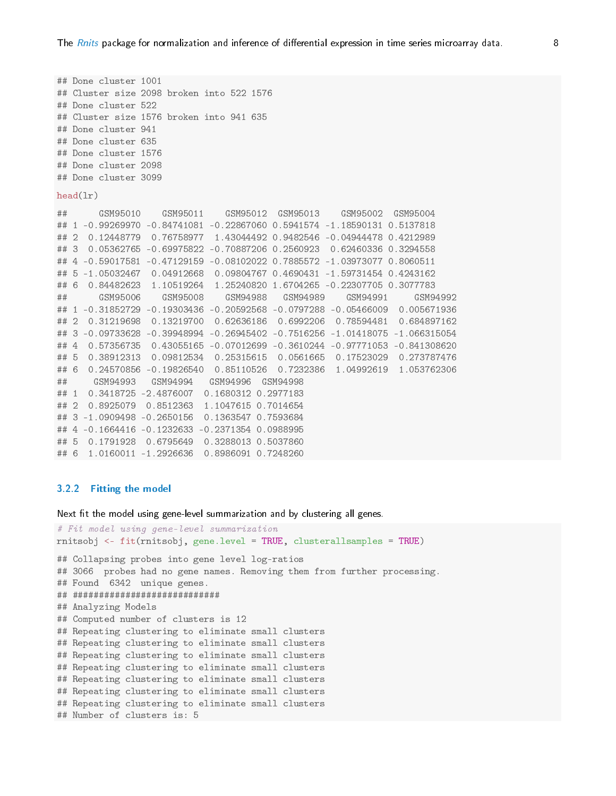```
## Done cluster 1001
## Cluster size 2098 broken into 522 1576
## Done cluster 522
## Cluster size 1576 broken into 941 635
## Done cluster 941
## Done cluster 635
## Done cluster 1576
## Done cluster 2098
## Done cluster 3099
head(lr)
## GSM95010 GSM95011 GSM95012 GSM95013 GSM95002 GSM95004
## 1 -0.99269970 -0.84741081 -0.22867060 0.5941574 -1.18590131 0.5137818
## 2 0.12448779 0.76758977 1.43044492 0.9482546 -0.04944478 0.4212989
## 3 0.05362765 -0.69975822 -0.70887206 0.2560923 0.62460336 0.3294558
## 4 -0.59017581 -0.47129159 -0.08102022 0.7885572 -1.03973077 0.8060511
## 5 -1.05032467 0.04912668 0.09804767 0.4690431 -1.59731454 0.4243162
## 6 0.84482623 1.10519264 1.25240820 1.6704265 -0.22307705 0.3077783
## GSM95006 GSM95008 GSM94988 GSM94989 GSM94991 GSM94992
## 1 -0.31852729 -0.19303436 -0.20592568 -0.0797288 -0.05466009 0.005671936
## 2 0.31219698 0.13219700 0.62636186 0.6992206 0.78594481 0.684897162
## 3 -0.09733628 -0.39948994 -0.26945402 -0.7516256 -1.01418075 -1.066315054
## 4 0.57356735 0.43055165 -0.07012699 -0.3610244 -0.97771053 -0.841308620
## 5 0.38912313 0.09812534 0.25315615 0.0561665 0.17523029 0.273787476
## 6 0.24570856 -0.19826540 0.85110526 0.7232386 1.04992619 1.053762306
## GSM94993 GSM94994 GSM94996 GSM94998
## 1 0.3418725 -2.4876007 0.1680312 0.2977183
## 2 0.8925079 0.8512363 1.1047615 0.7014654
## 3 -1.0909498 -0.2650156 0.1363547 0.7593684
## 4 -0.1664416 -0.1232633 -0.2371354 0.0988995
## 5 0.1791928 0.6795649 0.3288013 0.5037860
## 6 1.0160011 -1.2926636 0.8986091 0.7248260
```
#### <span id="page-7-0"></span>3.2.2 Fitting the model

Next fit the model using gene-level summarization and by clustering all genes.

```
# Fit model using gene-level summarization
rnitsobj <- fit(rnitsobj, gene.level = TRUE, clusterallsamples = TRUE)
## Collapsing probes into gene level log-ratios
## 3066 probes had no gene names. Removing them from further processing.
## Found 6342 unique genes.
## ############################
## Analyzing Models
## Computed number of clusters is 12
## Repeating clustering to eliminate small clusters
## Repeating clustering to eliminate small clusters
## Repeating clustering to eliminate small clusters
## Repeating clustering to eliminate small clusters
## Repeating clustering to eliminate small clusters
## Repeating clustering to eliminate small clusters
## Repeating clustering to eliminate small clusters
## Number of clusters is: 5
```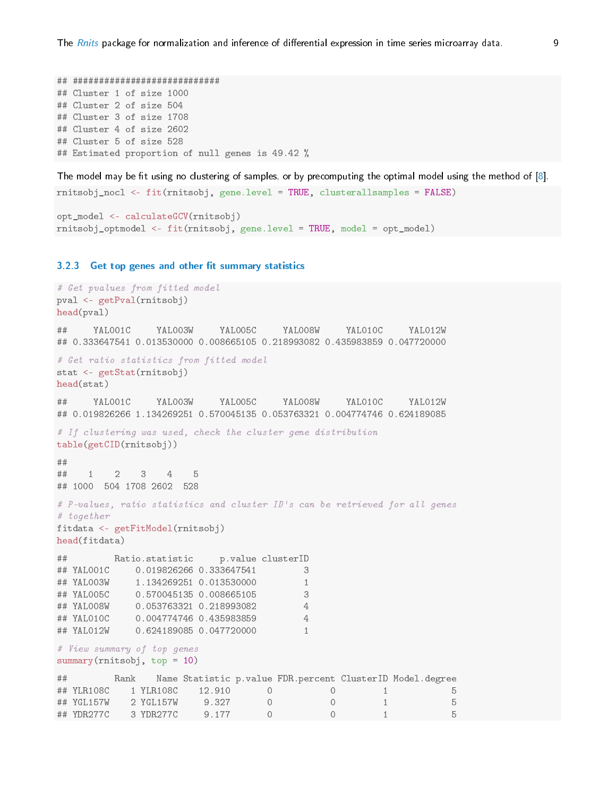## ############################ ## Cluster 1 of size 1000 ## Cluster 2 of size 504 ## Cluster 3 of size 1708 ## Cluster 4 of size 2602 ## Cluster 5 of size 528 ## Estimated proportion of null genes is 49.42 %

The model may be fit using no clustering of samples, or by precomputing the optimal model using the method of  $[8]$ .

```
rnitsobj_nocl <- fit(rnitsobj, gene.level = TRUE, clusterallsamples = FALSE)
```

```
opt_model <- calculateGCV(rnitsobj)
rnitsobj_optmodel <- fit(rnitsobj, gene.level = TRUE, model = opt_model)
```
#### <span id="page-8-0"></span>3.2.3 Get top genes and other fit summary statistics

```
# Get pvalues from fitted model
pval <- getPval(rnitsobj)
head(pval)
## YAL001C YAL003W YAL005C YAL008W YAL010C YAL012W
## 0.333647541 0.013530000 0.008665105 0.218993082 0.435983859 0.047720000
# Get ratio statistics from fitted model
stat <- getStat(rnitsobj)
head(stat)
## YAL001C YAL003W YAL005C YAL008W YAL010C YAL012W
## 0.019826266 1.134269251 0.570045135 0.053763321 0.004774746 0.624189085
# If clustering was used, check the cluster gene distribution
table(getCID(rnitsobj))
##
## 1 2 3 4 5
## 1000 504 1708 2602 528
# P-values, ratio statistics and cluster ID's can be retrieved for all genes
# together
fitdata <- getFitModel(rnitsobj)
head(fitdata)
## Ratio.statistic p.value clusterID
## YAL001C 0.019826266 0.333647541 3
## YAL003W 1.134269251 0.013530000 1
## YAL005C 0.570045135 0.008665105 3
## YAL008W 0.053763321 0.218993082 4
## YAL010C 0.004774746 0.435983859 4
## YAL012W 0.624189085 0.047720000 1
# View summary of top genes
summary(rnitsobj, top = 10)## Rank Name Statistic p.value FDR.percent ClusterID Model.degree
## YLR108C 1 YLR108C 12.910 0 0 1 5
## YGL157W 2 YGL157W 9.327 0 0 1 5
## YDR277C 3 YDR277C 9.177 0 0 1 5
```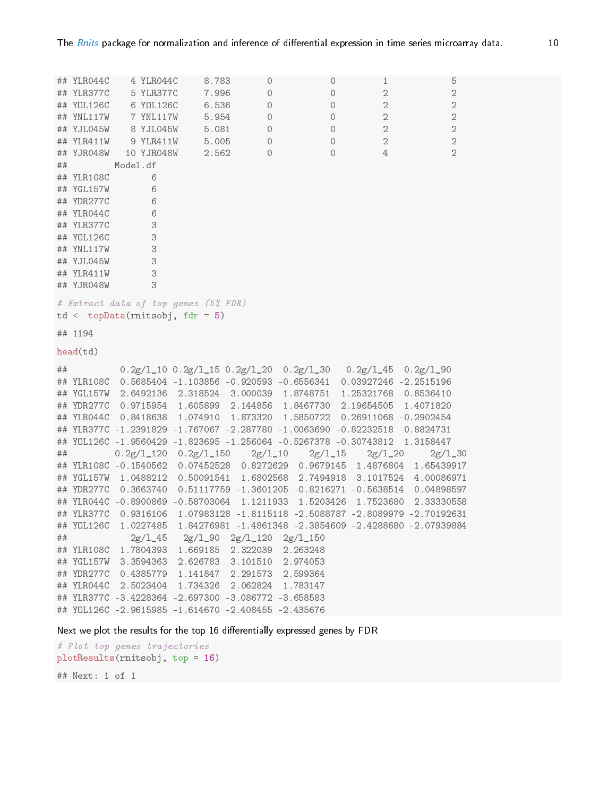|    | ## YLR044C | 4 YLR044C                                                                          | 8.783 | 0                                                     | 0                                                                | $\mathbf{1}$                                                                 | 5              |  |
|----|------------|------------------------------------------------------------------------------------|-------|-------------------------------------------------------|------------------------------------------------------------------|------------------------------------------------------------------------------|----------------|--|
|    | ## YLR377C | 5 YLR377C                                                                          | 7.996 | 0                                                     | 0                                                                | $\mathbf{2}$                                                                 | $\mathbf{2}$   |  |
|    | ## YOL126C | 6 YOL126C                                                                          | 6.536 | 0                                                     | 0                                                                | $\sqrt{2}$                                                                   | $\mathbf{2}$   |  |
|    | ## YNL117W | 7 YNL117W                                                                          | 5.954 | 0                                                     | 0                                                                | $\sqrt{2}$                                                                   | $\mathbf 2$    |  |
|    | ## YJL045W | 8 YJL045W                                                                          | 5.081 | 0                                                     | 0                                                                | $\mathbf{2}$                                                                 | $\mathbf{2}$   |  |
|    | ## YLR411W | 9 YLR411W                                                                          | 5.005 | $\circ$                                               | 0                                                                | $\overline{2}$                                                               | $\mathbf 2$    |  |
|    | ## YJR048W | 10 YJR048W                                                                         | 2.562 | 0                                                     | $\circ$                                                          | 4                                                                            | $\overline{2}$ |  |
| ## |            | Model.df                                                                           |       |                                                       |                                                                  |                                                                              |                |  |
|    | ## YLR108C | 6                                                                                  |       |                                                       |                                                                  |                                                                              |                |  |
|    | ## YGL157W | 6                                                                                  |       |                                                       |                                                                  |                                                                              |                |  |
|    | ## YDR277C | 6                                                                                  |       |                                                       |                                                                  |                                                                              |                |  |
|    | ## YLR044C | 6                                                                                  |       |                                                       |                                                                  |                                                                              |                |  |
|    | ## YLR377C | 3                                                                                  |       |                                                       |                                                                  |                                                                              |                |  |
|    | ## YOL126C | 3                                                                                  |       |                                                       |                                                                  |                                                                              |                |  |
|    | ## YNL117W | 3                                                                                  |       |                                                       |                                                                  |                                                                              |                |  |
|    | ## YJL045W | 3                                                                                  |       |                                                       |                                                                  |                                                                              |                |  |
|    | ## YLR411W | 3                                                                                  |       |                                                       |                                                                  |                                                                              |                |  |
|    | ## YJR048W | 3                                                                                  |       |                                                       |                                                                  |                                                                              |                |  |
|    |            | # Extract data of top genes (5% FDR)<br>$td \leftarrow topData(rnitsobj, fdr = 5)$ |       |                                                       |                                                                  |                                                                              |                |  |
|    | ## 1194    |                                                                                    |       |                                                       |                                                                  |                                                                              |                |  |
|    |            |                                                                                    |       |                                                       |                                                                  |                                                                              |                |  |
|    | head(td)   |                                                                                    |       |                                                       |                                                                  |                                                                              |                |  |
| ## |            |                                                                                    |       |                                                       |                                                                  | $0.2g/1_10$ $0.2g/1_15$ $0.2g/1_20$ $0.2g/1_30$ $0.2g/1_45$ $0.2g/1_90$      |                |  |
|    |            |                                                                                    |       |                                                       |                                                                  | ## YLR108C 0.5685404 -1.103856 -0.920593 -0.6556341 0.03927246 -2.2515196    |                |  |
|    | ## YGL157W |                                                                                    |       |                                                       |                                                                  | 2.6492136  2.318524  3.000039  1.8748751  1.25321768  -0.8536410             |                |  |
|    | ## YDR277C |                                                                                    |       |                                                       | 0.9715954 1.605899 2.144856 1.8467730 2.19654505                 |                                                                              | 1.4071820      |  |
|    | ## YLR044C |                                                                                    |       | 0.8418638 1.074910 1.873320 1.5850722                 |                                                                  | 0.26911068 -0.2902454                                                        |                |  |
|    |            |                                                                                    |       |                                                       | ## YLR377C -1.2391829 -1.767067 -2.287780 -1.0063690 -0.82232518 |                                                                              | 0.8824731      |  |
|    |            |                                                                                    |       |                                                       |                                                                  | ## Y0L126C -1.9560429 -1.823695 -1.256064 -0.5267378 -0.30743812 1.3158447   |                |  |
| ## |            | $0.2g/1\_120$ $0.2g/1\_150$                                                        |       | $2g/1_{-}10$                                          | $2g/1_{-}15$                                                     | $2g/1_{-}20$                                                                 | $2g/1_{-}30$   |  |
|    |            |                                                                                    |       |                                                       |                                                                  | ## YLR108C -0.1540562 0.07452528 0.8272629 0.9679145 1.4876804 1.65439917    |                |  |
|    |            |                                                                                    |       |                                                       | ## YGL157W 1.0488212 0.50091541 1.6802568 2.7494918              | 3.1017524                                                                    | 4.00086971     |  |
|    | ## YDR277C |                                                                                    |       |                                                       |                                                                  | $0.3663740$ $0.51117759$ $-1.3601205$ $-0.8216271$ $-0.5638514$              | 0.04898597     |  |
|    |            |                                                                                    |       |                                                       |                                                                  | ## YLR044C -0.8900869 -0.58703064 1.1211933 1.5203426 1.7523680              | 2.33330558     |  |
|    |            |                                                                                    |       |                                                       |                                                                  | ## YLR377C 0.9316106 1.07983128 -1.8115118 -2.5088787 -2.8089979 -2.70192631 |                |  |
|    |            |                                                                                    |       |                                                       |                                                                  | ## Y0L126C 1.0227485 1.84276981 -1.4861348 -2.3854609 -2.4288680 -2.07939884 |                |  |
| ## |            |                                                                                    |       | $2g/1_{-}45$ $2g/1_{-}90$ $2g/1_{-}120$ $2g/1_{-}150$ |                                                                  |                                                                              |                |  |
|    |            | ## YLR108C 1.7804393 1.669185 2.322039 2.263248                                    |       |                                                       |                                                                  |                                                                              |                |  |
|    | ## YGL157W |                                                                                    |       | 3.3594363 2.626783 3.101510 2.974053                  |                                                                  |                                                                              |                |  |
|    |            | ## YDR277C 0.4385779 1.141847 2.291573 2.599364                                    |       |                                                       |                                                                  |                                                                              |                |  |
|    |            | ## YLR044C 2.5023404 1.734326 2.062824 1.783147                                    |       |                                                       |                                                                  |                                                                              |                |  |
|    |            | ## YLR377C -3.4228364 -2.697300 -3.086772 -3.658583                                |       |                                                       |                                                                  |                                                                              |                |  |

Next we plot the results for the top 16 differentially expressed genes by FDR

```
# Plot top genes trajectories
plotResults(rnitsobj, top = 16)
```
## Next: 1 of 1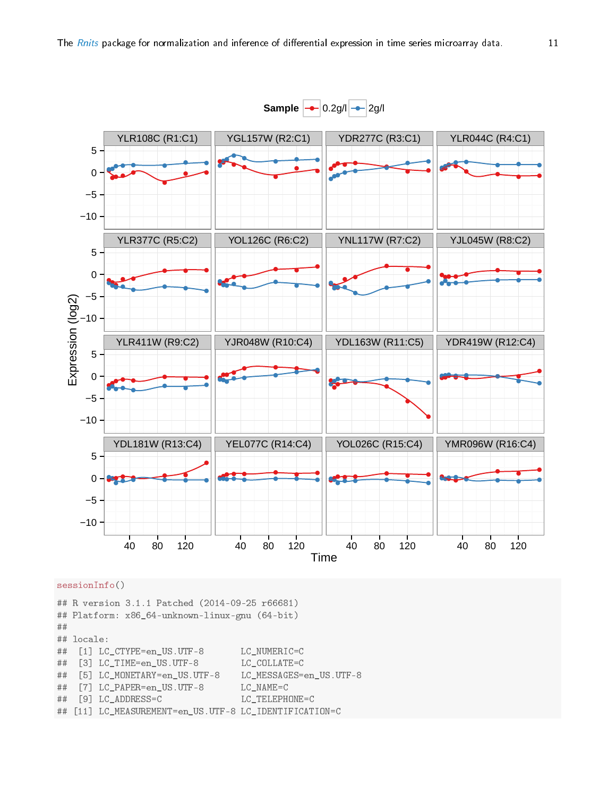

#### sessionInfo()

## R version 3.1.1 Patched (2014-09-25 r66681) ## Platform: x86\_64-unknown-linux-gnu (64-bit) ## ## locale: ## [1] LC\_CTYPE=en\_US.UTF-8 LC\_NUMERIC=C ## [3] LC\_TIME=en\_US.UTF-8 LC\_COLLATE=C ## [5] LC\_MONETARY=en\_US.UTF-8 LC\_MESSAGES=en\_US.UTF-8 ## [7] LC\_PAPER=en\_US.UTF-8 LC\_NAME=C ## [9] LC\_ADDRESS=C LC\_TELEPHONE=C ## [11] LC\_MEASUREMENT=en\_US.UTF-8 LC\_IDENTIFICATION=C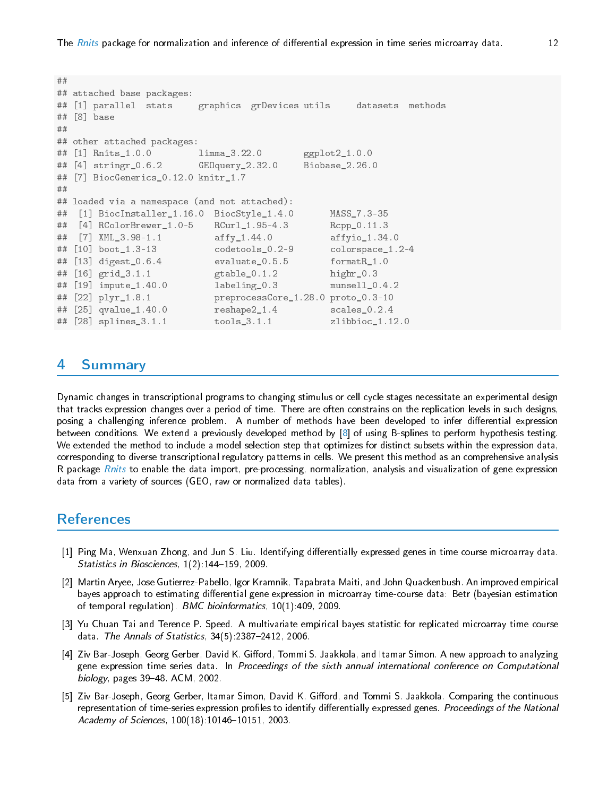```
##
## attached base packages:
## [1] parallel stats graphics grDevices utils datasets methods
## [8] base
##
## other attached packages:
## [1] Rnits_1.0.0 limma_3.22.0 ggplot2_1.0.0
## [4] stringr_0.6.2 GEOquery_2.32.0 Biobase_2.26.0
## [7] BiocGenerics_0.12.0 knitr_1.7
##
## loaded via a namespace (and not attached):
## [1] BiocInstaller_1.16.0 BiocStyle_1.4.0 MASS_7.3-35
## [4] RColorBrewer_1.0-5 RCurl_1.95-4.3 Rcpp_0.11.3
## [7] XML_3.98-1.1 affy_1.44.0 affyio_1.34.0
## [10] boot_1.3-13 codetools_0.2-9 colorspace_1.2-4
## [13] digest_0.6.4 evaluate_0.5.5 formatR_1.0
## [16] grid_3.1.1 gtable_0.1.2 highr_0.3
## [19] impute_1.40.0 labeling_0.3 munsell_0.4.2
## [22] plyr_1.8.1 preprocessCore_1.28.0 proto_0.3-10
## [25] qvalue_1.40.0 reshape2_1.4 scales_0.2.4
## [28] splines_3.1.1 tools_3.1.1 zlibbioc_1.12.0
```
### <span id="page-11-0"></span>4 Summary

Dynamic changes in transcriptional programs to changing stimulus or cell cycle stages necessitate an experimental design that tracks expression changes over a period of time. There are often constrains on the replication levels in such designs, posing a challenging inference problem. A number of methods have been developed to infer differential expression between conditions. We extend a previously developed method by [\[8\]](#page-12-2) of using B-splines to perform hypothesis testing. We extended the method to include a model selection step that optimizes for distinct subsets within the expression data, corresponding to diverse transcriptional regulatory patterns in cells. We present this method as an comprehensive analysis R package *[Rnits](http://bioconductor.org/packages/release/bioc/html/Rnits.html)* to enable the data import, pre-processing, normalization, analysis and visualization of gene expression data from a variety of sources (GEO, raw or normalized data tables).

### References

- <span id="page-11-1"></span>[1] Ping Ma, Wenxuan Zhong, and Jun S. Liu. Identifying differentially expressed genes in time course microarray data. Statistics in Biosciences,  $1(2)$ :144-159, 2009.
- <span id="page-11-2"></span>[2] Martin Aryee, Jose Gutierrez-Pabello, Igor Kramnik, Tapabrata Maiti, and John Quackenbush. An improved empirical bayes approach to estimating differential gene expression in microarray time-course data: Betr (bayesian estimation of temporal regulation). BMC bioinformatics, 10(1):409, 2009.
- <span id="page-11-3"></span>[3] Yu Chuan Tai and Terence P. Speed. A multivariate empirical bayes statistic for replicated microarray time course data. The Annals of Statistics,  $34(5)$ : 2387-2412, 2006.
- <span id="page-11-4"></span>[4] Ziv Bar-Joseph, Georg Gerber, David K. Gifford, Tommi S. Jaakkola, and Itamar Simon. A new approach to analyzing gene expression time series data. In Proceedings of the sixth annual international conference on Computational biology, pages 39-48. ACM, 2002.
- <span id="page-11-5"></span>[5] Ziv Bar-Joseph, Georg Gerber, Itamar Simon, David K. Gifford, and Tommi S. Jaakkola. Comparing the continuous representation of time-series expression profiles to identify differentially expressed genes. Proceedings of the National Academy of Sciences, 100(18):10146-10151, 2003.